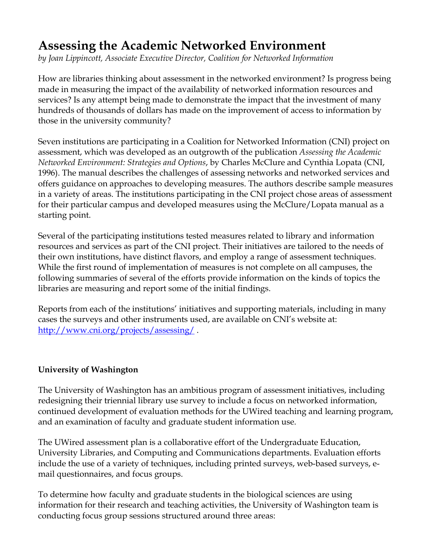# **Assessing the Academic Networked Environment**

*by Joan Lippincott, Associate Executive Director, Coalition for Networked Information*

How are libraries thinking about assessment in the networked environment? Is progress being made in measuring the impact of the availability of networked information resources and services? Is any attempt being made to demonstrate the impact that the investment of many hundreds of thousands of dollars has made on the improvement of access to information by those in the university community?

Seven institutions are participating in a Coalition for Networked Information (CNI) project on assessment, which was developed as an outgrowth of the publication *Assessing the Academic Networked Environment: Strategies and Options*, by Charles McClure and Cynthia Lopata (CNI, 1996). The manual describes the challenges of assessing networks and networked services and offers guidance on approaches to developing measures. The authors describe sample measures in a variety of areas. The institutions participating in the CNI project chose areas of assessment for their particular campus and developed measures using the McClure/Lopata manual as a starting point.

Several of the participating institutions tested measures related to library and information resources and services as part of the CNI project. Their initiatives are tailored to the needs of their own institutions, have distinct flavors, and employ a range of assessment techniques. While the first round of implementation of measures is not complete on all campuses, the following summaries of several of the efforts provide information on the kinds of topics the libraries are measuring and report some of the initial findings.

Reports from each of the institutions' initiatives and supporting materials, including in many cases the surveys and other instruments used, are available on CNI's website at: http://www.cni.org/projects/assessing/ .

#### **University of Washington**

The University of Washington has an ambitious program of assessment initiatives, including redesigning their triennial library use survey to include a focus on networked information, continued development of evaluation methods for the UWired teaching and learning program, and an examination of faculty and graduate student information use.

The UWired assessment plan is a collaborative effort of the Undergraduate Education, University Libraries, and Computing and Communications departments. Evaluation efforts include the use of a variety of techniques, including printed surveys, web-based surveys, email questionnaires, and focus groups.

To determine how faculty and graduate students in the biological sciences are using information for their research and teaching activities, the University of Washington team is conducting focus group sessions structured around three areas: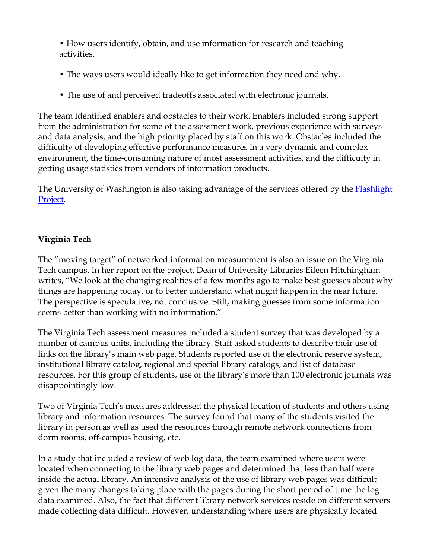• How users identify, obtain, and use information for research and teaching activities.

- The ways users would ideally like to get information they need and why.
- The use of and perceived tradeoffs associated with electronic journals.

The team identified enablers and obstacles to their work. Enablers included strong support from the administration for some of the assessment work, previous experience with surveys and data analysis, and the high priority placed by staff on this work. Obstacles included the difficulty of developing effective performance measures in a very dynamic and complex environment, the time-consuming nature of most assessment activities, and the difficulty in getting usage statistics from vendors of information products.

The University of Washington is also taking advantage of the services offered by the **Flashlight** Project.

## **Virginia Tech**

The "moving target" of networked information measurement is also an issue on the Virginia Tech campus. In her report on the project, Dean of University Libraries Eileen Hitchingham writes, "We look at the changing realities of a few months ago to make best guesses about why things are happening today, or to better understand what might happen in the near future. The perspective is speculative, not conclusive. Still, making guesses from some information seems better than working with no information."

The Virginia Tech assessment measures included a student survey that was developed by a number of campus units, including the library. Staff asked students to describe their use of links on the library's main web page. Students reported use of the electronic reserve system, institutional library catalog, regional and special library catalogs, and list of database resources. For this group of students, use of the library's more than 100 electronic journals was disappointingly low.

Two of Virginia Tech's measures addressed the physical location of students and others using library and information resources. The survey found that many of the students visited the library in person as well as used the resources through remote network connections from dorm rooms, off-campus housing, etc.

In a study that included a review of web log data, the team examined where users were located when connecting to the library web pages and determined that less than half were inside the actual library. An intensive analysis of the use of library web pages was difficult given the many changes taking place with the pages during the short period of time the log data examined. Also, the fact that different library network services reside on different servers made collecting data difficult. However, understanding where users are physically located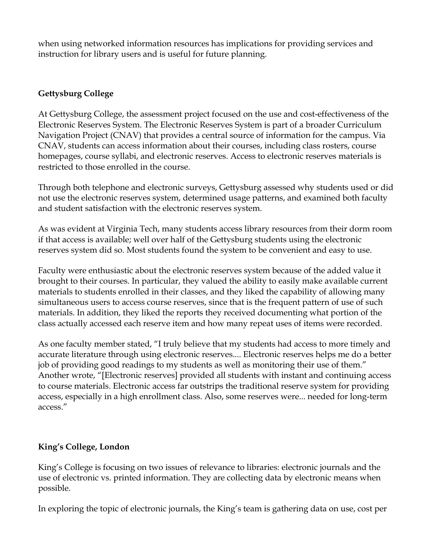when using networked information resources has implications for providing services and instruction for library users and is useful for future planning.

## **Gettysburg College**

At Gettysburg College, the assessment project focused on the use and cost-effectiveness of the Electronic Reserves System. The Electronic Reserves System is part of a broader Curriculum Navigation Project (CNAV) that provides a central source of information for the campus. Via CNAV, students can access information about their courses, including class rosters, course homepages, course syllabi, and electronic reserves. Access to electronic reserves materials is restricted to those enrolled in the course.

Through both telephone and electronic surveys, Gettysburg assessed why students used or did not use the electronic reserves system, determined usage patterns, and examined both faculty and student satisfaction with the electronic reserves system.

As was evident at Virginia Tech, many students access library resources from their dorm room if that access is available; well over half of the Gettysburg students using the electronic reserves system did so. Most students found the system to be convenient and easy to use.

Faculty were enthusiastic about the electronic reserves system because of the added value it brought to their courses. In particular, they valued the ability to easily make available current materials to students enrolled in their classes, and they liked the capability of allowing many simultaneous users to access course reserves, since that is the frequent pattern of use of such materials. In addition, they liked the reports they received documenting what portion of the class actually accessed each reserve item and how many repeat uses of items were recorded.

As one faculty member stated, "I truly believe that my students had access to more timely and accurate literature through using electronic reserves.... Electronic reserves helps me do a better job of providing good readings to my students as well as monitoring their use of them." Another wrote, "[Electronic reserves] provided all students with instant and continuing access to course materials. Electronic access far outstrips the traditional reserve system for providing access, especially in a high enrollment class. Also, some reserves were... needed for long-term access."

#### **King's College, London**

King's College is focusing on two issues of relevance to libraries: electronic journals and the use of electronic vs. printed information. They are collecting data by electronic means when possible.

In exploring the topic of electronic journals, the King's team is gathering data on use, cost per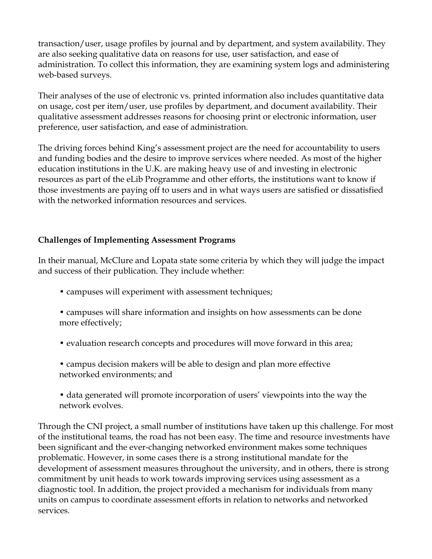transaction/user, usage profiles by journal and by department, and system availability. They are also seeking qualitative data on reasons for use, user satisfaction, and ease of administration. To collect this information, they are examining system logs and administering web-based surveys.

Their analyses of the use of electronic vs. printed information also includes quantitative data on usage, cost per item/user, use profiles by department, and document availability. Their qualitative assessment addresses reasons for choosing print or electronic information, user preference, user satisfaction, and ease of administration.

The driving forces behind King's assessment project are the need for accountability to users and funding bodies and the desire to improve services where needed. As most of the higher education institutions in the U.K. are making heavy use of and investing in electronic resources as part of the eLib Programme and other efforts, the institutions want to know if those investments are paying off to users and in what ways users are satisfied or dissatisfied with the networked information resources and services.

### **Challenges of Implementing Assessment Programs**

In their manual, McClure and Lopata state some criteria by which they will judge the impact and success of their publication. They include whether:

- campuses will experiment with assessment techniques;
- campuses will share information and insights on how assessments can be done more effectively;
- evaluation research concepts and procedures will move forward in this area;
- campus decision makers will be able to design and plan more effective networked environments; and
- data generated will promote incorporation of users' viewpoints into the way the network evolves.

Through the CNI project, a small number of institutions have taken up this challenge. For most of the institutional teams, the road has not been easy. The time and resource investments have been significant and the ever-changing networked environment makes some techniques problematic. However, in some cases there is a strong institutional mandate for the development of assessment measures throughout the university, and in others, there is strong commitment by unit heads to work towards improving services using assessment as a diagnostic tool. In addition, the project provided a mechanism for individuals from many units on campus to coordinate assessment efforts in relation to networks and networked services.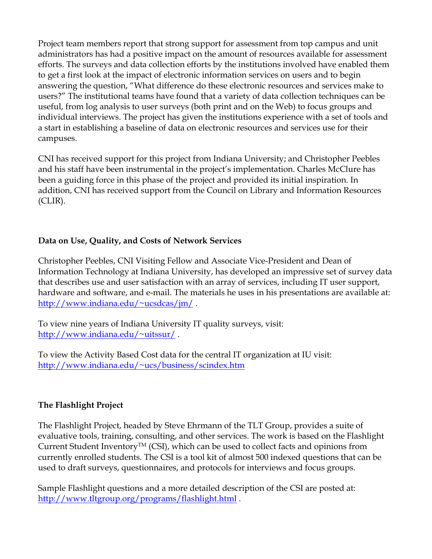Project team members report that strong support for assessment from top campus and unit administrators has had a positive impact on the amount of resources available for assessment efforts. The surveys and data collection efforts by the institutions involved have enabled them to get a first look at the impact of electronic information services on users and to begin answering the question, "What difference do these electronic resources and services make to users?" The institutional teams have found that a variety of data collection techniques can be useful, from log analysis to user surveys (both print and on the Web) to focus groups and individual interviews. The project has given the institutions experience with a set of tools and a start in establishing a baseline of data on electronic resources and services use for their campuses.

CNI has received support for this project from Indiana University; and Christopher Peebles and his staff have been instrumental in the project's implementation. Charles McClure has been a guiding force in this phase of the project and provided its initial inspiration. In addition, CNI has received support from the Council on Library and Information Resources (CLIR).

## **Data on Use, Quality, and Costs of Network Services**

Christopher Peebles, CNI Visiting Fellow and Associate Vice-President and Dean of Information Technology at Indiana University, has developed an impressive set of survey data that describes use and user satisfaction with an array of services, including IT user support, hardware and software, and e-mail. The materials he uses in his presentations are available at: http://www.indiana.edu/~ucsdcas/jm/ .

To view nine years of Indiana University IT quality surveys, visit: http://www.indiana.edu/~uitssur/ .

To view the Activity Based Cost data for the central IT organization at IU visit: http://www.indiana.edu/~ucs/business/scindex.htm

## **The Flashlight Project**

The Flashlight Project, headed by Steve Ehrmann of the TLT Group, provides a suite of evaluative tools, training, consulting, and other services. The work is based on the Flashlight Current Student Inventory<sup>TM</sup> (CSI), which can be used to collect facts and opinions from currently enrolled students. The CSI is a tool kit of almost 500 indexed questions that can be used to draft surveys, questionnaires, and protocols for interviews and focus groups.

Sample Flashlight questions and a more detailed description of the CSI are posted at: http://www.tltgroup.org/programs/flashlight.html .